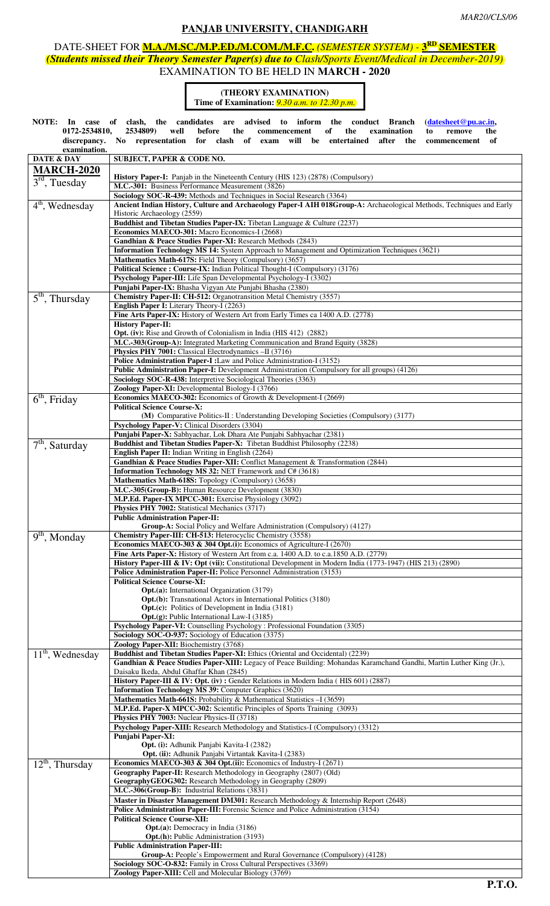### **PANJAB UNIVERSITY, CHANDIGARH**

## DATE-SHEET FOR **M.A./M.SC./M.P.ED./M.COM./M.F.C.** *(SEMESTER SYSTEM) -* **3RD SEMESTER** *(Students missed their Theory Semester Paper(s) due to Clash/Sports Event/Medical in December-2019)* EXAMINATION TO BE HELD IN **MARCH - 2020**

#### **(THEORY EXAMINATION) Time of Examination:** *9.30 a.m. to 12.30 p.m.*

**NOTE: In case of clash, the candidates are advised to inform the conduct Branch (datesheet@pu.ac.in, 0172-2534810, 2534809) well before the commencement of the examination to remove the discrepancy. No representation for clash of exam will be entertained after the commencement of**  *examination.* **DATE & DAY SUBJECT, PAPER & CODE NO.** 

| DA I E & DA Y                  | SUBJECT, PAPER & CODE NO.                                                                                                                                        |
|--------------------------------|------------------------------------------------------------------------------------------------------------------------------------------------------------------|
| <b>MARCH-2020</b>              |                                                                                                                                                                  |
| $3rd$ , Tuesday                | <b>History Paper-I:</b> Panjab in the Nineteenth Century (HIS 123) (2878) (Compulsory)                                                                           |
|                                | M.C.-301: Business Performance Measurement (3826)                                                                                                                |
|                                | Sociology SOC-R-439: Methods and Techniques in Social Research (3364)                                                                                            |
| $4th$ , Wednesday              | Ancient Indian History, Culture and Archaeology Paper-I AIH 018Group-A: Archaeological Methods, Techniques and Early                                             |
|                                | Historic Archaeology (2559)                                                                                                                                      |
|                                | Buddhist and Tibetan Studies Paper-IX: Tibetan Language & Culture (2237)                                                                                         |
|                                | Economics MAECO-301: Macro Economics-I (2668)                                                                                                                    |
|                                | Gandhian & Peace Studies Paper-XI: Research Methods (2843)                                                                                                       |
|                                | Information Technology MS 14: System Approach to Management and Optimization Techniques (3621)                                                                   |
|                                | Mathematics Math-617S: Field Theory (Compulsory) (3657)                                                                                                          |
|                                | Political Science: Course-IX: Indian Political Thought-I (Compulsory) (3176)                                                                                     |
|                                | Psychology Paper-III: Life Span Developmental Psychology-I (3302)                                                                                                |
|                                | Punjabi Paper-IX: Bhasha Vigyan Ate Punjabi Bhasha (2380)                                                                                                        |
| $\overline{5}^{th}$ , Thursday | Chemistry Paper-II: CH-512: Organotransition Metal Chemistry (3557)                                                                                              |
|                                | English Paper I: Literary Theory-I (2263)                                                                                                                        |
|                                | Fine Arts Paper-IX: History of Western Art from Early Times ca 1400 A.D. (2778)                                                                                  |
|                                | <b>History Paper-II:</b>                                                                                                                                         |
|                                | <b>Opt. (iv):</b> Rise and Growth of Colonialism in India (HIS 412) (2882)                                                                                       |
|                                | M.C.-303(Group-A): Integrated Marketing Communication and Brand Equity (3828)                                                                                    |
|                                | Physics PHY 7001: Classical Electrodynamics -II (3716)                                                                                                           |
|                                | Police Administration Paper-I : Law and Police Administration-I (3152)                                                                                           |
|                                | Public Administration Paper-I: Development Administration (Compulsory for all groups) (4126)                                                                     |
|                                | Sociology SOC-R-438: Interpretive Sociological Theories (3363)                                                                                                   |
|                                | Zoology Paper-XI: Developmental Biology-I (3766)                                                                                                                 |
| $6th$ , Friday                 | Economics MAECO-302: Economics of Growth & Development-I (2669)                                                                                                  |
|                                | <b>Political Science Course-X:</b>                                                                                                                               |
|                                | (M) Comparative Politics-II : Understanding Developing Societies (Compulsory) (3177)                                                                             |
|                                | Psychology Paper-V: Clinical Disorders (3304)                                                                                                                    |
|                                | Punjabi Paper-X: Sabhyachar, Lok Dhara Ate Punjabi Sabhyachar (2381)                                                                                             |
| $7th$ , Saturday               | Buddhist and Tibetan Studies Paper-X: Tibetan Buddhist Philosophy (2238)                                                                                         |
|                                | <b>English Paper II:</b> Indian Writing in English (2264)                                                                                                        |
|                                | Gandhian & Peace Studies Paper-XII: Conflict Management & Transformation (2844)                                                                                  |
|                                | Information Technology MS 32: NET Framework and C# (3618)<br>Mathematics Math-618S: Topology (Compulsory) (3658)                                                 |
|                                | M.C.-305(Group-B): Human Resource Development (3830)                                                                                                             |
|                                | M.P.Ed. Paper-IX MPCC-301: Exercise Physiology (3092)                                                                                                            |
|                                | Physics PHY 7002: Statistical Mechanics (3717)                                                                                                                   |
|                                | <b>Public Administration Paper-II:</b>                                                                                                                           |
|                                | Group-A: Social Policy and Welfare Administration (Compulsory) (4127)                                                                                            |
| $9th$ , Monday                 | Chemistry Paper-III: CH-513: Heterocyclic Chemistry (3558)                                                                                                       |
|                                | Economics MAECO-303 & 304 Opt.(i): Economics of Agriculture-I (2670)                                                                                             |
|                                | Fine Arts Paper-X: History of Western Art from c.a. 1400 A.D. to c.a.1850 A.D. (2779)                                                                            |
|                                | History Paper-III & IV: Opt (vii): Constitutional Development in Modern India (1773-1947) (HIS 213) (2890)                                                       |
|                                | Police Administration Paper-II: Police Personnel Administration (3153)                                                                                           |
|                                | <b>Political Science Course-XI:</b>                                                                                                                              |
|                                | Opt.(a): International Organization (3179)                                                                                                                       |
|                                | <b>Opt.(b):</b> Transnational Actors in International Politics (3180)                                                                                            |
|                                | <b>Opt.(c):</b> Politics of Development in India (3181)                                                                                                          |
|                                | <b>Opt.(g):</b> Public International Law-I (3185)                                                                                                                |
|                                | Psychology Paper-VI: Counselling Psychology : Professional Foundation (3305)                                                                                     |
|                                | Sociology SOC-O-937: Sociology of Education (3375)                                                                                                               |
|                                | Zoology Paper-XII: Biochemistry (3768)                                                                                                                           |
| $11th$ , Wednesday             | Buddhist and Tibetan Studies Paper-XI: Ethics (Oriental and Occidental) (2239)                                                                                   |
|                                | Gandhian & Peace Studies Paper-XIII: Legacy of Peace Building: Mohandas Karamchand Gandhi, Martin Luther King (Jr.),<br>Daisaku Ikeda, Abdul Ghaffar Khan (2845) |
|                                | History Paper-III & IV: Opt. (iv): Gender Relations in Modern India (HIS 601) (2887)                                                                             |
|                                | <b>Information Technology MS 39: Computer Graphics (3620)</b>                                                                                                    |
|                                | Mathematics Math-661S: Probability & Mathematical Statistics -I (3659)                                                                                           |
|                                | M.P.Ed. Paper-X MPCC-302: Scientific Principles of Sports Training (3093)                                                                                        |
|                                | Physics PHY 7003: Nuclear Physics-II (3718)                                                                                                                      |
|                                | Psychology Paper-XIII: Research Methodology and Statistics-I (Compulsory) (3312)                                                                                 |
|                                | Punjabi Paper-XI:                                                                                                                                                |
|                                | <b>Opt.</b> (i): Adhunik Panjabi Kavita-I (2382)                                                                                                                 |
|                                | Opt. (ii): Adhunik Panjabi Virtantak Kavita-I (2383)                                                                                                             |
| $12th$ , Thursday              | Economics MAECO-303 & 304 Opt.(ii): Economics of Industry-I (2671)                                                                                               |
|                                | Geography Paper-II: Research Methodology in Geography (2807) (Old)                                                                                               |
|                                | GeographyGEOG302: Research Methodology in Geography (2809)                                                                                                       |
|                                | M.C.-306(Group-B): Industrial Relations (3831)                                                                                                                   |
|                                | Master in Disaster Management DM301: Research Methodology & Internship Report (2648)                                                                             |
|                                | <b>Police Administration Paper-III:</b> Forensic Science and Police Administration (3154)                                                                        |
|                                | <b>Political Science Course-XII:</b>                                                                                                                             |
|                                | <b>Opt.</b> (a): Democracy in India (3186)                                                                                                                       |
|                                | <b>Opt.(h):</b> Public Administration (3193)                                                                                                                     |
|                                | <b>Public Administration Paper-III:</b>                                                                                                                          |
|                                | Group-A: People's Empowerment and Rural Governance (Compulsory) (4128)                                                                                           |
|                                | Sociology SOC-O-832: Family in Cross Cultural Perspectives (3369)<br>Zoology Paper-XIII: Cell and Molecular Biology (3769)                                       |
|                                |                                                                                                                                                                  |